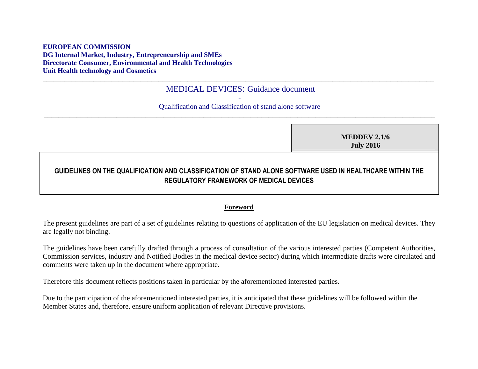#### **EUROPEAN COMMISSION DG Internal Market, Industry, Entrepreneurship and SMEs Directorate Consumer, Environmental and Health Technologies Unit Health technology and Cosmetics**

#### \_\_\_\_\_\_\_\_\_\_\_\_\_\_\_\_\_\_\_\_\_\_\_\_\_\_\_\_\_\_\_\_\_\_\_\_\_\_\_\_\_\_\_\_\_\_\_\_\_\_\_\_\_\_\_\_\_\_\_\_\_\_\_\_\_\_\_\_\_\_\_\_\_\_\_\_\_\_\_\_\_\_\_\_\_\_\_\_\_\_\_\_\_\_\_\_\_\_\_\_\_\_\_\_\_\_\_\_ MEDICAL DEVICES: Guidance document

- Qualification and Classification of stand alone software \_\_\_\_\_\_\_\_\_\_\_\_\_\_\_\_\_\_\_\_\_\_\_\_\_\_\_\_\_\_\_\_\_\_\_\_\_\_\_\_\_\_\_\_\_\_\_\_\_\_\_\_\_\_\_\_\_\_\_\_\_\_\_\_\_\_\_\_\_\_\_\_\_\_\_\_\_\_\_\_\_\_\_\_\_\_\_\_\_\_\_\_\_\_\_\_\_\_\_\_\_\_\_\_\_\_\_\_

**MEDDEV 2.1/6** 

**July 2016** 

## **GUIDELINES ON THE QUALIFICATION AND CLASSIFICATION OF STAND ALONE SOFTWARE USED IN HEALTHCARE WITHIN THE REGULATORY FRAMEWORK OF MEDICAL DEVICES**

#### **Foreword**

The present guidelines are part of a set of guidelines relating to questions of application of the EU legislation on medical devices. They are legally not binding.

The guidelines have been carefully drafted through a process of consultation of the various interested parties (Competent Authorities, Commission services, industry and Notified Bodies in the medical device sector) during which intermediate drafts were circulated and comments were taken up in the document where appropriate.

Therefore this document reflects positions taken in particular by the aforementioned interested parties.

Due to the participation of the aforementioned interested parties, it is anticipated that these guidelines will be followed within the Member States and, therefore, ensure uniform application of relevant Directive provisions.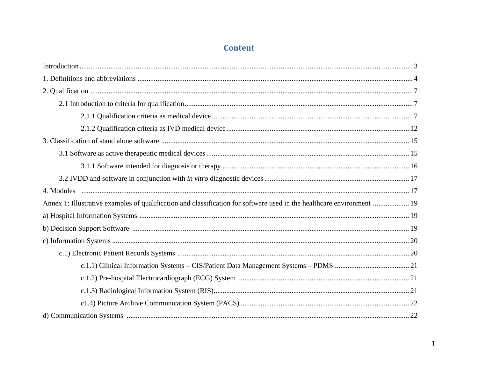# **Content**

| Annex 1: Illustrative examples of qualification and classification for software used in the healthcare environment  19 |
|------------------------------------------------------------------------------------------------------------------------|
|                                                                                                                        |
|                                                                                                                        |
|                                                                                                                        |
|                                                                                                                        |
|                                                                                                                        |
|                                                                                                                        |
|                                                                                                                        |
|                                                                                                                        |
|                                                                                                                        |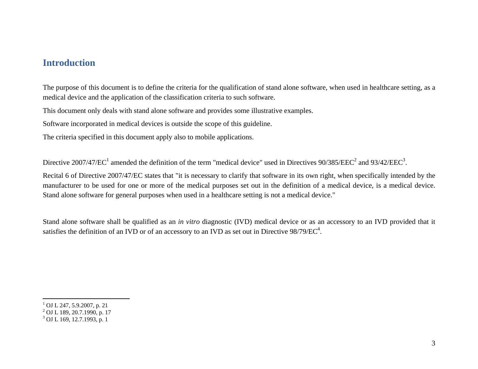# **Introduction**

The purpose of this document is to define the criteria for the qualification of stand alone software, when used in healthcare setting, as a medical device and the application of the classification criteria to such software.

This document only deals with stand alone software and provides some illustrative examples.

Software incorporated in medical devices is outside the scope of this guideline.

The criteria specified in this document apply also to mobile applications.

Directive  $2007/47/EC^1$  amended the definition of the term "medical device" used in Directives  $90/385/EEC^2$  and  $93/42/EEC^3$ .

Recital 6 of Directive 2007/47/EC states that "it is necessary to clarify that software in its own right, when specifically intended by the manufacturer to be used for one or more of the medical purposes set out in the definition of a medical device, is a medical device. Stand alone software for general purposes when used in a healthcare setting is not a medical device."

Stand alone software shall be qualified as an *in vitro* diagnostic (IVD) medical device or as an accessory to an IVD provided that it satisfies the definition of an IVD or of an accessory to an IVD as set out in Directive 98/79/EC<sup>4</sup>.

 $^{\rm 1}$  OJ L 247, 5.9.2007, p. 21

<sup>&</sup>lt;sup>2</sup> OJ L 189, 20.7.1990, p. 17

<sup>&</sup>lt;sup>3</sup> OJ L 169, 12.7.1993, p. 1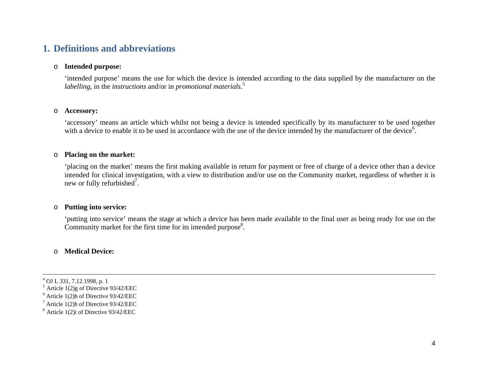# **1. Definitions and abbreviations**

#### o **Intended purpose:**

'intended purpose' means the use for which the device is intended according to the data supplied by the manufacturer on the *labelling*, in the *instructions* and/or in *promotional materials*.<sup>5</sup>

#### o **Accessory:**

'accessory' means an article which whilst not being a device is intended specifically by its manufacturer to be used together with a device to enable it to be used in accordance with the use of the device intended by the manufacturer of the device<sup>6</sup>.

#### o **Placing on the market:**

'placing on the market' means the first making available in return for payment or free of charge of a device other than a device intended for clinical investigation, with a view to distribution and/or use on the Community market, regardless of whether it is new or fully refurbished<sup>7</sup>.

#### o**Putting into service:**

'putting into service' means the stage at which a device has been made available to the final user as being ready for use on the Community market for the first time for its intended purpose<sup>8</sup>.

## o **Medical Device:**

<sup>4</sup> OJ L 331, 7.12.1998, p. 1

 $<sup>5</sup>$  Article 1(2)g of Directive 93/42/EEC</sup>

<sup>6</sup> Article 1(2)b of Directive 93/42/EEC

<sup>7</sup> Article 1(2)h of Directive 93/42/EEC

 $8$  Article 1(2)i of Directive 93/42/EEC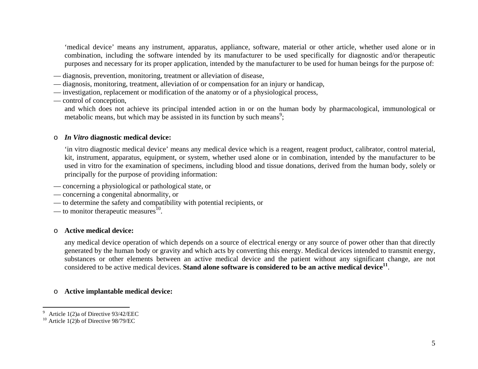'medical device' means any instrument, apparatus, appliance, software, material or other article, whether used alone or in combination, including the software intended by its manufacturer to be used specifically for diagnostic and/or therapeutic purposes and necessary for its proper application, intended by the manufacturer to be used for human beings for the purpose of:

- diagnosis, prevention, monitoring, treatment or alleviation of disease,
- diagnosis, monitoring, treatment, alleviation of or compensation for an injury or handicap,
- investigation, replacement or modification of the anatomy or of a physiological process,
- control of conception,

and which does not achieve its principal intended action in or on the human body by pharmacological, immunological or metabolic means, but which may be assisted in its function by such means<sup>9</sup>;

## o *In Vitro* **diagnostic medical device:**

'in vitro diagnostic medical device' means any medical device which is a reagent, reagent product, calibrator, control material, kit, instrument, apparatus, equipment, or system, whether used alone or in combination, intended by the manufacturer to be used in vitro for the examination of specimens, including blood and tissue donations, derived from the human body, solely or principally for the purpose of providing information:

- concerning a physiological or pathological state, or
- concerning a congenital abnormality, or
- to determine the safety and compatibility with potential recipients, or
- to monitor therapeutic measures  $10$ .

## o **Active medical device:**

any medical device operation of which depends on a source of electrical energy or any source of power other than that directly generated by the human body or gravity and which acts by converting this energy. Medical devices intended to transmit energy, substances or other elements between an active medical device and the patient without any significant change, are not considered to be active medical devices. **Stand alone software is considered to be an active medical device<sup>11</sup>**.

## o **Active implantable medical device:**

<sup>9</sup> Article 1(2)a of Directive 93/42/EEC

 $10$  Article 1(2)b of Directive 98/79/EC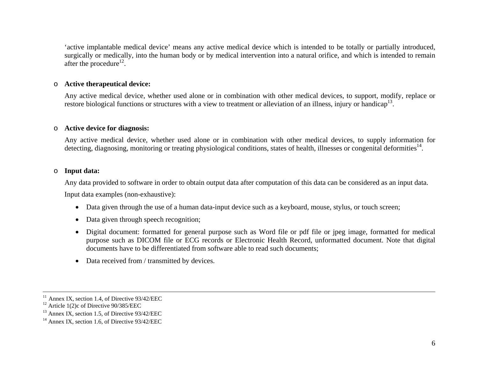'active implantable medical device' means any active medical device which is intended to be totally or partially introduced, surgically or medically, into the human body or by medical intervention into a natural orifice, and which is intended to remain after the procedure<sup>12</sup>.

#### o**Active therapeutical device:**

Any active medical device, whether used alone or in combination with other medical devices, to support, modify, replace or restore biological functions or structures with a view to treatment or alleviation of an illness, injury or handicap<sup>13</sup>.

#### o **Active device for diagnosis:**

Any active medical device, whether used alone or in combination with other medical devices, to supply information for detecting, diagnosing, monitoring or treating physiological conditions, states of health, illnesses or congenital deformities<sup>14</sup>.

#### o **Input data:**

Any data provided to software in order to obtain output data after computation of this data can be considered as an input data.

Input data examples (non-exhaustive):

- Data given through the use of a human data-input device such as a keyboard, mouse, stylus, or touch screen;
- Data given through speech recognition;
- Digital document: formatted for general purpose such as Word file or pdf file or jpeg image, formatted for medical purpose such as DICOM file or ECG records or Electronic Health Record, unformatted document. Note that digital documents have to be differentiated from software able to read such documents;
- Data received from / transmitted by devices.

 $11$  Annex IX, section 1.4, of Directive 93/42/EEC

 $12$  Article 1(2)c of Directive 90/385/EEC

<sup>&</sup>lt;sup>13</sup> Annex IX, section 1.5, of Directive 93/42/EEC

<sup>&</sup>lt;sup>14</sup> Annex IX, section 1.6, of Directive 93/42/EEC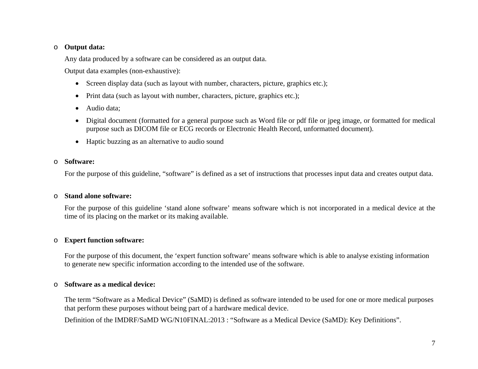## o **Output data:**

Any data produced by a software can be considered as an output data.

Output data examples (non-exhaustive):

- Screen display data (such as layout with number, characters, picture, graphics etc.);
- Print data (such as layout with number, characters, picture, graphics etc.);
- Audio data;
- Digital document (formatted for a general purpose such as Word file or pdf file or jpeg image, or formatted for medical purpose such as DICOM file or ECG records or Electronic Health Record, unformatted document).
- Haptic buzzing as an alternative to audio sound

## o **Software:**

For the purpose of this guideline, "software" is defined as a set of instructions that processes input data and creates output data.

#### o**Stand alone software:**

For the purpose of this guideline 'stand alone software' means software which is not incorporated in a medical device at the time of its placing on the market or its making available.

## o **Expert function software:**

For the purpose of this document, the 'expert function software' means software which is able to analyse existing information to generate new specific information according to the intended use of the software.

#### o**Software as a medical device:**

The term "Software as a Medical Device" (SaMD) is defined as software intended to be used for one or more medical purposes that perform these purposes without being part of a hardware medical device.

Definition of the IMDRF/SaMD WG/N10FINAL:2013 : "Software as a Medical Device (SaMD): Key Definitions".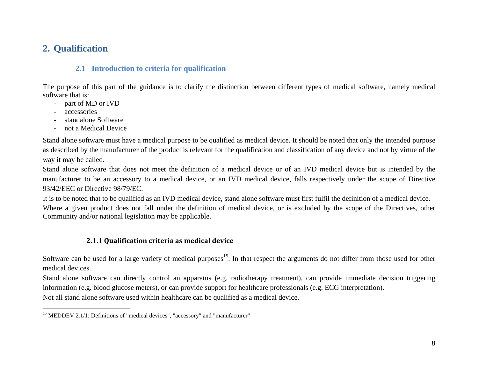# **2. Qualification**

## **2.1 Introduction to criteria for qualification**

The purpose of this part of the guidance is to clarify the distinction between different types of medical software, namely medical software that is:

- part of MD or IVD
- accessories
- standalone Software
- not a Medical Device

Stand alone software must have a medical purpose to be qualified as medical device. It should be noted that only the intended purpose as described by the manufacturer of the product is relevant for the qualification and classification of any device and not by virtue of the way it may be called.

Stand alone software that does not meet the definition of a medical device or of an IVD medical device but is intended by the manufacturer to be an accessory to a medical device, or an IVD medical device, falls respectively under the scope of Directive 93/42/EEC or Directive 98/79/EC.

It is to be noted that to be qualified as an IVD medical device, stand alone software must first fulfil the definition of a medical device.

Where a given product does not fall under the definition of medical device, or is excluded by the scope of the Directives, other Community and/or national legislation may be applicable.

## **2.1.1 Qualification criteria as medical device**

Software can be used for a large variety of medical purposes<sup>15</sup>. In that respect the arguments do not differ from those used for other medical devices.

Stand alone software can directly control an apparatus (e.g. radiotherapy treatment), can provide immediate decision triggering information (e.g. blood glucose meters), or can provide support for healthcare professionals (e.g. ECG interpretation). Not all stand alone software used within healthcare can be qualified as a medical device.

<sup>&</sup>lt;sup>15</sup> MEDDEV 2.1/1: Definitions of "medical devices", "accessory" and "manufacturer"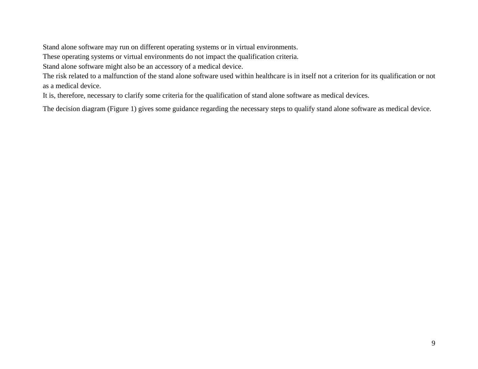Stand alone software may run on different operating systems or in virtual environments.

These operating systems or virtual environments do not impact the qualification criteria.

Stand alone software might also be an accessory of a medical device.

The risk related to a malfunction of the stand alone software used within healthcare is in itself not a criterion for its qualification or not as a medical device.

It is, therefore, necessary to clarify some criteria for the qualification of stand alone software as medical devices.

The decision diagram (Figure 1) gives some guidance regarding the necessary steps to qualify stand alone software as medical device.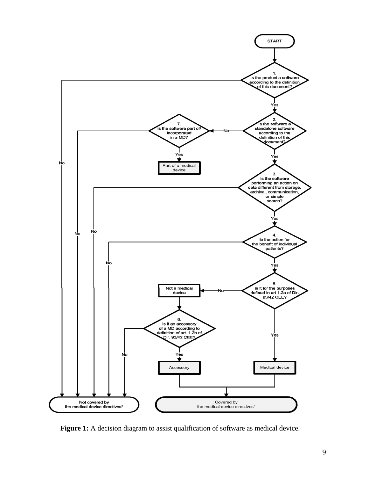

Figure 1: A decision diagram to assist qualification of software as medical device.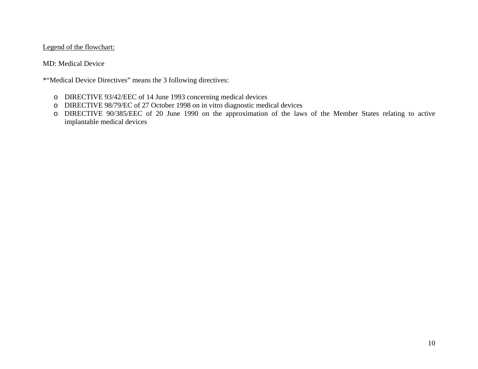## Legend of the flowchart:

## MD: Medical Device

\*"Medical Device Directives" means the 3 following directives:

- o DIRECTIVE 93/42/EEC of 14 June 1993 concerning medical devices
- oDIRECTIVE 98/79/EC of 27 October 1998 on in vitro diagnostic medical devices
- o DIRECTIVE 90/385/EEC of 20 June 1990 on the approximation of the laws of the Member States relating to active implantable medical devices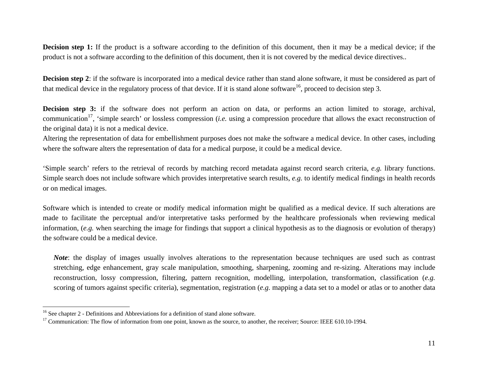**Decision step 1:** If the product is a software according to the definition of this document, then it may be a medical device; if the product is not a software according to the definition of this document, then it is not covered by the medical device directives..

**Decision step 2**: if the software is incorporated into a medical device rather than stand alone software, it must be considered as part of that medical device in the regulatory process of that device. If it is stand alone software<sup>16</sup>, proceed to decision step 3.

**Decision step 3:** if the software does not perform an action on data, or performs an action limited to storage, archival, communication<sup>17</sup>, 'simple search' or lossless compression (*i.e.* using a compression procedure that allows the exact reconstruction of the original data) it is not a medical device.

Altering the representation of data for embellishment purposes does not make the software a medical device. In other cases, including where the software alters the representation of data for a medical purpose, it could be a medical device.

'Simple search' refers to the retrieval of records by matching record metadata against record search criteria, *e.g.* library functions. Simple search does not include software which provides interpretative search results, *e.g.* to identify medical findings in health records or on medical images.

Software which is intended to create or modify medical information might be qualified as a medical device. If such alterations are made to facilitate the perceptual and/or interpretative tasks performed by the healthcare professionals when reviewing medical information, (*e.g.* when searching the image for findings that support a clinical hypothesis as to the diagnosis or evolution of therapy) the software could be a medical device.

*Note*: the display of images usually involves alterations to the representation because techniques are used such as contrast stretching, edge enhancement, gray scale manipulation, smoothing, sharpening, zooming and re-sizing. Alterations may include reconstruction, lossy compression, filtering, pattern recognition, modelling, interpolation, transformation, classification (*e.g.* scoring of tumors against specific criteria), segmentation, registration (*e.g.* mapping a data set to a model or atlas or to another data

<sup>&</sup>lt;sup>16</sup> See chapter 2 - Definitions and Abbreviations for a definition of stand alone software.

<sup>&</sup>lt;sup>17</sup> Communication: The flow of information from one point, known as the source, to another, the receiver; Source: IEEE 610.10-1994.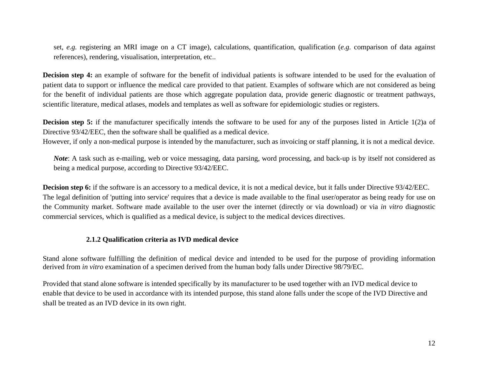set, *e.g.* registering an MRI image on a CT image), calculations, quantification, qualification (*e.g.* comparison of data against references), rendering, visualisation, interpretation, etc..

**Decision step 4:** an example of software for the benefit of individual patients is software intended to be used for the evaluation of patient data to support or influence the medical care provided to that patient. Examples of software which are not considered as being for the benefit of individual patients are those which aggregate population data, provide generic diagnostic or treatment pathways, scientific literature, medical atlases, models and templates as well as software for epidemiologic studies or registers.

**Decision step 5:** if the manufacturer specifically intends the software to be used for any of the purposes listed in Article 1(2)a of Directive 93/42/EEC, then the software shall be qualified as a medical device.

However, if only a non-medical purpose is intended by the manufacturer, such as invoicing or staff planning, it is not a medical device.

*Note*: A task such as e-mailing, web or voice messaging, data parsing, word processing, and back-up is by itself not considered as being a medical purpose, according to Directive 93/42/EEC.

**Decision step 6:** if the software is an accessory to a medical device, it is not a medical device, but it falls under Directive 93/42/EEC. The legal definition of 'putting into service' requires that a device is made available to the final user/operator as being ready for use on the Community market. Software made available to the user over the internet (directly or via download) or via *in vitro* diagnostic commercial services, which is qualified as a medical device, is subject to the medical devices directives.

## **2.1.2 Qualification criteria as IVD medical device**

Stand alone software fulfilling the definition of medical device and intended to be used for the purpose of providing information derived from *in vitro* examination of a specimen derived from the human body falls under Directive 98/79/EC.

Provided that stand alone software is intended specifically by its manufacturer to be used together with an IVD medical device to enable that device to be used in accordance with its intended purpose, this stand alone falls under the scope of the IVD Directive and shall be treated as an IVD device in its own right.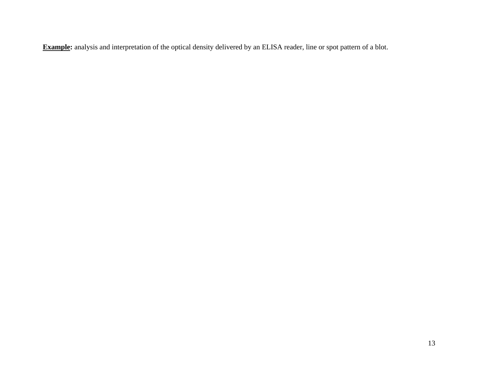**Example:** analysis and interpretation of the optical density delivered by an ELISA reader, line or spot pattern of a blot.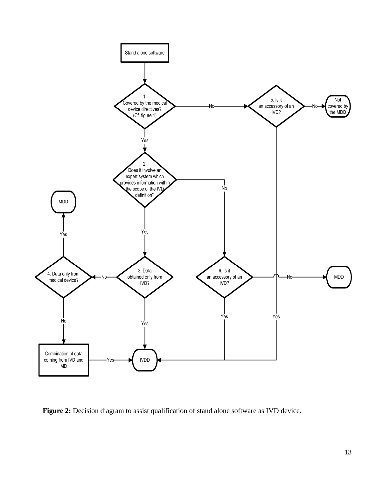

**Figure 2:** Decision diagram to assist qualification of stand alone software as IVD device.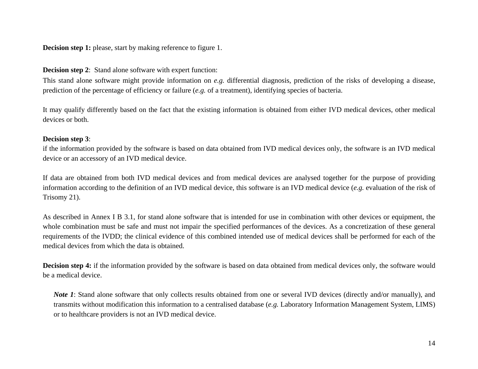**Decision step 1:** please, start by making reference to figure 1.

## **Decision step 2:** Stand alone software with expert function:

This stand alone software might provide information on *e.g.* differential diagnosis, prediction of the risks of developing a disease, prediction of the percentage of efficiency or failure (*e.g.* of a treatment), identifying species of bacteria.

It may qualify differently based on the fact that the existing information is obtained from either IVD medical devices, other medical devices or both.

#### **Decision step 3**:

if the information provided by the software is based on data obtained from IVD medical devices only, the software is an IVD medical device or an accessory of an IVD medical device.

If data are obtained from both IVD medical devices and from medical devices are analysed together for the purpose of providing information according to the definition of an IVD medical device, this software is an IVD medical device (*e.g.* evaluation of the risk of Trisomy 21).

As described in Annex I B 3.1, for stand alone software that is intended for use in combination with other devices or equipment, the whole combination must be safe and must not impair the specified performances of the devices. As a concretization of these general requirements of the IVDD; the clinical evidence of this combined intended use of medical devices shall be performed for each of the medical devices from which the data is obtained.

**Decision step 4:** if the information provided by the software is based on data obtained from medical devices only, the software would be a medical device.

*Note 1*: Stand alone software that only collects results obtained from one or several IVD devices (directly and/or manually), and transmits without modification this information to a centralised database (*e.g.* Laboratory Information Management System, LIMS) or to healthcare providers is not an IVD medical device.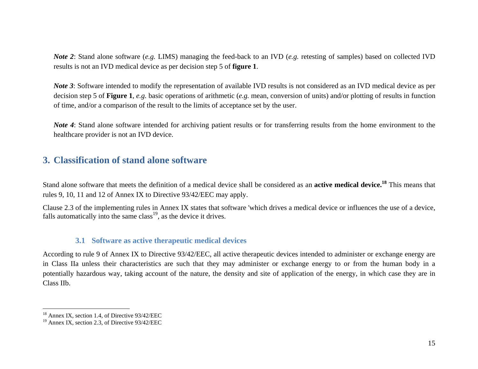*Note 2*: Stand alone software (*e.g.* LIMS) managing the feed-back to an IVD (*e.g.* retesting of samples) based on collected IVD results is not an IVD medical device as per decision step 5 of **figure 1**.

*Note 3*: Software intended to modify the representation of available IVD results is not considered as an IVD medical device as per decision step 5 of **Figure 1**, *e.g.* basic operations of arithmetic (*e.g.* mean, conversion of units) and/or plotting of results in function of time, and/or a comparison of the result to the limits of acceptance set by the user.

*Note 4*: Stand alone software intended for archiving patient results or for transferring results from the home environment to the healthcare provider is not an IVD device.

# **3. Classification of stand alone software**

Stand alone software that meets the definition of a medical device shall be considered as an **active medical device.<sup>18</sup>** This means that rules 9, 10, 11 and 12 of Annex IX to Directive 93/42/EEC may apply.

Clause 2.3 of the implementing rules in Annex IX states that software 'which drives a medical device or influences the use of a device, falls automatically into the same class<sup>19</sup>, as the device it drives.

## **3.1 Software as active therapeutic medical devices**

According to rule 9 of Annex IX to Directive 93/42/EEC, all active therapeutic devices intended to administer or exchange energy are in Class IIa unless their characteristics are such that they may administer or exchange energy to or from the human body in a potentially hazardous way, taking account of the nature, the density and site of application of the energy, in which case they are in Class IIb.

 $^{18}$  Annex IX, section 1.4, of Directive 93/42/EEC

 $^{19}$  Annex IX, section 2.3, of Directive 93/42/EEC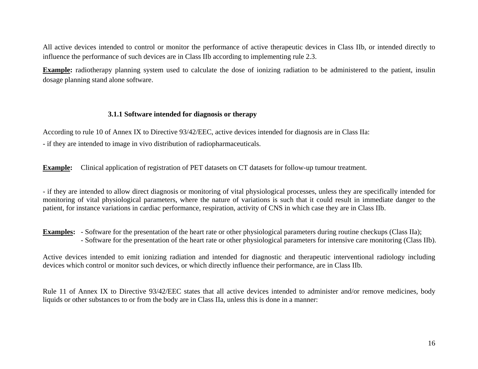All active devices intended to control or monitor the performance of active therapeutic devices in Class IIb, or intended directly to influence the performance of such devices are in Class IIb according to implementing rule 2.3.

**Example:** radiotherapy planning system used to calculate the dose of ionizing radiation to be administered to the patient, insulin dosage planning stand alone software.

## **3.1.1 Software intended for diagnosis or therapy**

According to rule 10 of Annex IX to Directive 93/42/EEC, active devices intended for diagnosis are in Class IIa:

- if they are intended to image in vivo distribution of radiopharmaceuticals.

**Example:** Clinical application of registration of PET datasets on CT datasets for follow-up tumour treatment.

- if they are intended to allow direct diagnosis or monitoring of vital physiological processes, unless they are specifically intended for monitoring of vital physiological parameters, where the nature of variations is such that it could result in immediate danger to the patient, for instance variations in cardiac performance, respiration, activity of CNS in which case they are in Class IIb.

**Examples:** - Software for the presentation of the heart rate or other physiological parameters during routine checkups (Class IIa); - Software for the presentation of the heart rate or other physiological parameters for intensive care monitoring (Class IIb).

Active devices intended to emit ionizing radiation and intended for diagnostic and therapeutic interventional radiology including devices which control or monitor such devices, or which directly influence their performance, are in Class IIb.

Rule 11 of Annex IX to Directive 93/42/EEC states that all active devices intended to administer and/or remove medicines, body liquids or other substances to or from the body are in Class IIa, unless this is done in a manner: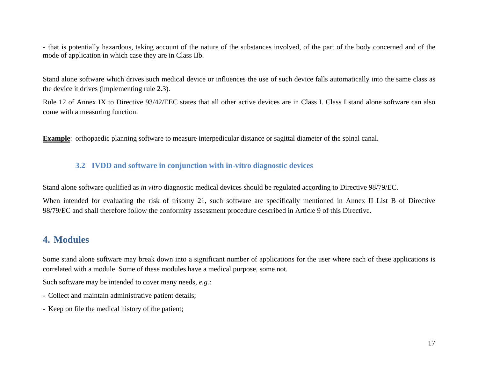- that is potentially hazardous, taking account of the nature of the substances involved, of the part of the body concerned and of the mode of application in which case they are in Class IIb.

Stand alone software which drives such medical device or influences the use of such device falls automatically into the same class as the device it drives (implementing rule 2.3).

Rule 12 of Annex IX to Directive 93/42/EEC states that all other active devices are in Class I. Class I stand alone software can also come with a measuring function.

**Example**: orthopaedic planning software to measure interpedicular distance or sagittal diameter of the spinal canal.

## **3.2 IVDD and software in conjunction with in-vitro diagnostic devices**

Stand alone software qualified as *in vitro* diagnostic medical devices should be regulated according to Directive 98/79/EC.

When intended for evaluating the risk of trisomy 21, such software are specifically mentioned in Annex II List B of Directive 98/79/EC and shall therefore follow the conformity assessment procedure described in Article 9 of this Directive.

# **4. Modules**

Some stand alone software may break down into a significant number of applications for the user where each of these applications is correlated with a module. Some of these modules have a medical purpose, some not.

Such software may be intended to cover many needs, *e.g.*:

- Collect and maintain administrative patient details;
- Keep on file the medical history of the patient;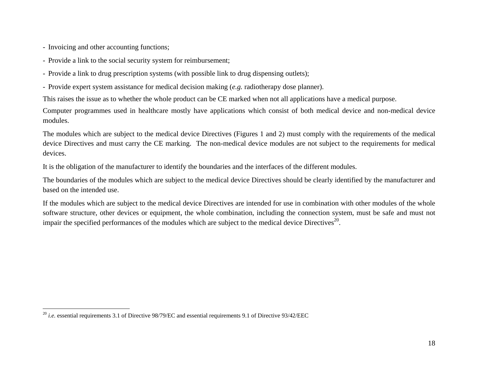- Invoicing and other accounting functions;
- Provide a link to the social security system for reimbursement;
- Provide a link to drug prescription systems (with possible link to drug dispensing outlets);
- Provide expert system assistance for medical decision making (*e.g.* radiotherapy dose planner).

This raises the issue as to whether the whole product can be CE marked when not all applications have a medical purpose.

Computer programmes used in healthcare mostly have applications which consist of both medical device and non-medical device modules.

The modules which are subject to the medical device Directives (Figures 1 and 2) must comply with the requirements of the medical device Directives and must carry the CE marking. The non-medical device modules are not subject to the requirements for medical devices.

It is the obligation of the manufacturer to identify the boundaries and the interfaces of the different modules.

The boundaries of the modules which are subject to the medical device Directives should be clearly identified by the manufacturer and based on the intended use.

If the modules which are subject to the medical device Directives are intended for use in combination with other modules of the whole software structure, other devices or equipment, the whole combination, including the connection system, must be safe and must not impair the specified performances of the modules which are subject to the medical device Directives<sup>20</sup>.

<sup>&</sup>lt;sup>20</sup> *i.e.* essential requirements 3.1 of Directive 98/79/EC and essential requirements 9.1 of Directive 93/42/EEC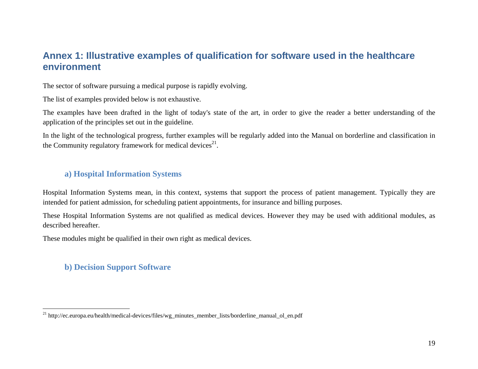# **Annex 1: Illustrative examples of qualification for software used in the healthcare environment**

The sector of software pursuing a medical purpose is rapidly evolving.

The list of examples provided below is not exhaustive.

The examples have been drafted in the light of today's state of the art, in order to give the reader a better understanding of the application of the principles set out in the guideline.

In the light of the technological progress, further examples will be regularly added into the Manual on borderline and classification in the Community regulatory framework for medical devices<sup>21</sup>.

# **a) Hospital Information Systems**

Hospital Information Systems mean, in this context, systems that support the process of patient management. Typically they are intended for patient admission, for scheduling patient appointments, for insurance and billing purposes.

These Hospital Information Systems are not qualified as medical devices. However they may be used with additional modules, as described hereafter.

These modules might be qualified in their own right as medical devices.

# **b) Decision Support Software**

<sup>&</sup>lt;sup>21</sup> http://ec.europa.eu/health/medical-devices/files/wg\_minutes\_member\_lists/borderline\_manual\_ol\_en.pdf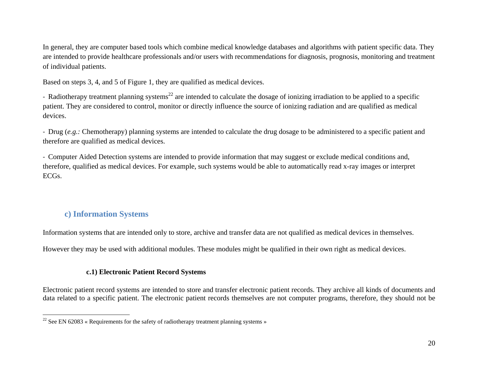In general, they are computer based tools which combine medical knowledge databases and algorithms with patient specific data. They are intended to provide healthcare professionals and/or users with recommendations for diagnosis, prognosis, monitoring and treatment of individual patients.

Based on steps 3, 4, and 5 of Figure 1, they are qualified as medical devices.

- Radiotherapy treatment planning systems<sup>22</sup> are intended to calculate the dosage of ionizing irradiation to be applied to a specific patient. They are considered to control, monitor or directly influence the source of ionizing radiation and are qualified as medical devices.

- Drug (*e.g.:* Chemotherapy) planning systems are intended to calculate the drug dosage to be administered to a specific patient and therefore are qualified as medical devices.

- Computer Aided Detection systems are intended to provide information that may suggest or exclude medical conditions and, therefore, qualified as medical devices. For example, such systems would be able to automatically read x-ray images or interpret ECGs.

# **c) Information Systems**

Information systems that are intended only to store, archive and transfer data are not qualified as medical devices in themselves.

However they may be used with additional modules. These modules might be qualified in their own right as medical devices.

## **c.1) Electronic Patient Record Systems**

Electronic patient record systems are intended to store and transfer electronic patient records. They archive all kinds of documents and data related to a specific patient. The electronic patient records themselves are not computer programs, therefore, they should not be

<sup>&</sup>lt;sup>22</sup> See EN 62083 « Requirements for the safety of radiotherapy treatment planning systems »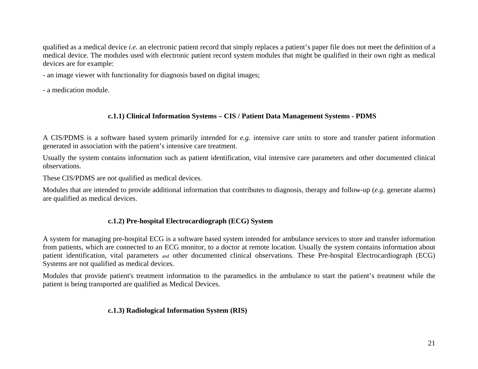qualified as a medical device *i.e.* an electronic patient record that simply replaces a patient's paper file does not meet the definition of a medical device. The modules used with electronic patient record system modules that might be qualified in their own right as medical devices are for example:

- an image viewer with functionality for diagnosis based on digital images;
- a medication module.

## **c.1.1) Clinical Information Systems – CIS / Patient Data Management Systems - PDMS**

A CIS/PDMS is a software based system primarily intended for *e.g.* intensive care units to store and transfer patient information generated in association with the patient's intensive care treatment.

Usually the system contains information such as patient identification, vital intensive care parameters and other documented clinical observations.

These CIS/PDMS are not qualified as medical devices.

Modules that are intended to provide additional information that contributes to diagnosis, therapy and follow-up (*e.g.* generate alarms) are qualified as medical devices.

## **c.1.2) Pre-hospital Electrocardiograph (ECG) System**

A system for managing pre-hospital ECG is a software based system intended for ambulance services to store and transfer information from patients, which are connected to an ECG monitor, to a doctor at remote location. Usually the system contains information about patient identification, vital parameters and other documented clinical observations. These Pre-hospital Electrocardiograph (ECG) Systems are not qualified as medical devices.

Modules that provide patient's treatment information to the paramedics in the ambulance to start the patient's treatment while the patient is being transported are qualified as Medical Devices.

## **c.1.3) Radiological Information System (RIS)**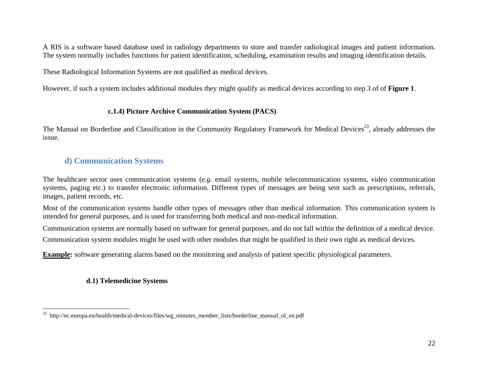A RIS is a software based database used in radiology departments to store and transfer radiological images and patient information. The system normally includes functions for patient identification, scheduling, examination results and imaging identification details.

These Radiological Information Systems are not qualified as medical devices.

However, if such a system includes additional modules they might qualify as medical devices according to step 3 of of **Figure 1**.

## **c.1.4) Picture Archive Communication System (PACS)**

The Manual on Borderline and Classification in the Community Regulatory Framework for Medical Devices<sup>23</sup>, already addresses the issue.

## **d) Communication Systems**

The healthcare sector uses communication systems (*e.g.* email systems, mobile telecommunication systems, video communication systems, paging etc.) to transfer electronic information. Different types of messages are being sent such as prescriptions, referrals, images, patient records, etc.

Most of the communication systems handle other types of messages other than medical information. This communication system is intended for general purposes, and is used for transferring both medical and non-medical information.

Communication systems are normally based on software for general purposes, and do not fall within the definition of a medical device.

Communication system modules might be used with other modules that might be qualified in their own right as medical devices.

**Example:** software generating alarms based on the monitoring and analysis of patient specific physiological parameters.

## **d.1) Telemedicine Systems**

<sup>&</sup>lt;sup>23</sup> http://ec.europa.eu/health/medical-devices/files/wg\_minutes\_member\_lists/borderline\_manual\_ol\_en.pdf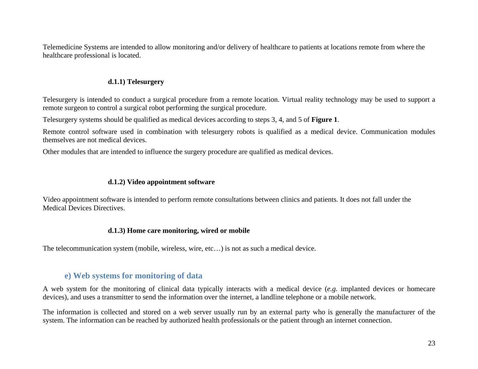Telemedicine Systems are intended to allow monitoring and/or delivery of healthcare to patients at locations remote from where the healthcare professional is located.

### **d.1.1) Telesurgery**

Telesurgery is intended to conduct a surgical procedure from a remote location. Virtual reality technology may be used to support a remote surgeon to control a surgical robot performing the surgical procedure.

Telesurgery systems should be qualified as medical devices according to steps 3, 4, and 5 of **Figure 1**.

Remote control software used in combination with telesurgery robots is qualified as a medical device. Communication modules themselves are not medical devices.

Other modules that are intended to influence the surgery procedure are qualified as medical devices.

## **d.1.2) Video appointment software**

Video appointment software is intended to perform remote consultations between clinics and patients. It does not fall under the Medical Devices Directives.

## **d.1.3) Home care monitoring, wired or mobile**

The telecommunication system (mobile, wireless, wire, etc…) is not as such a medical device.

# **e) Web systems for monitoring of data**

A web system for the monitoring of clinical data typically interacts with a medical device (*e.g.* implanted devices or homecare devices), and uses a transmitter to send the information over the internet, a landline telephone or a mobile network.

The information is collected and stored on a web server usually run by an external party who is generally the manufacturer of the system. The information can be reached by authorized health professionals or the patient through an internet connection.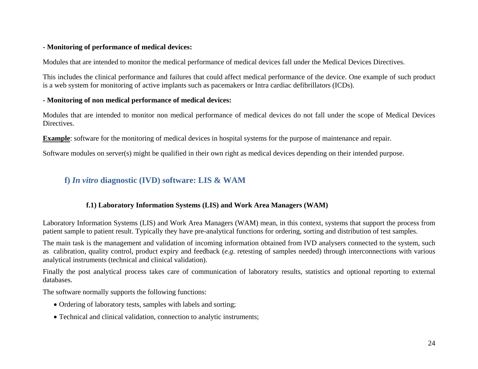## **- Monitoring of performance of medical devices:**

Modules that are intended to monitor the medical performance of medical devices fall under the Medical Devices Directives.

This includes the clinical performance and failures that could affect medical performance of the device. One example of such product is a web system for monitoring of active implants such as pacemakers or Intra cardiac defibrillators (ICDs).

## **- Monitoring of non medical performance of medical devices:**

Modules that are intended to monitor non medical performance of medical devices do not fall under the scope of Medical Devices Directives.

**Example**: software for the monitoring of medical devices in hospital systems for the purpose of maintenance and repair.

Software modules on server(s) might be qualified in their own right as medical devices depending on their intended purpose.

# **f)** *In vitro* **diagnostic (IVD) software: LIS & WAM**

## **f.1) Laboratory Information Systems (LIS) and Work Area Managers (WAM)**

Laboratory Information Systems (LIS) and Work Area Managers (WAM) mean, in this context, systems that support the process from patient sample to patient result. Typically they have pre-analytical functions for ordering, sorting and distribution of test samples.

The main task is the management and validation of incoming information obtained from IVD analysers connected to the system, such as calibration, quality control, product expiry and feedback (*e.g.* retesting of samples needed) through interconnections with various analytical instruments (technical and clinical validation).

Finally the post analytical process takes care of communication of laboratory results, statistics and optional reporting to external databases.

The software normally supports the following functions:

- Ordering of laboratory tests, samples with labels and sorting;
- Technical and clinical validation, connection to analytic instruments;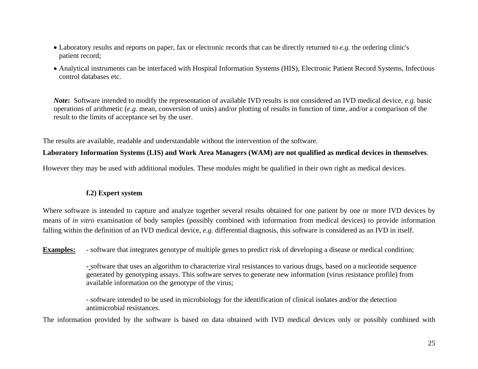- Laboratory results and reports on paper, fax or electronic records that can be directly returned to *e.g.* the ordering clinic's patient record;
- Analytical instruments can be interfaced with Hospital Information Systems (HIS), Electronic Patient Record Systems, Infectious control databases etc.

*Note***:** Software intended to modify the representation of available IVD results is not considered an IVD medical device, *e.g.* basic operations of arithmetic (*e.g.* mean, conversion of units) and/or plotting of results in function of time, and/or a comparison of the result to the limits of acceptance set by the user.

The results are available, readable and understandable without the intervention of the software.

#### **Laboratory Information Systems (LIS) and Work Area Managers (WAM) are not qualified as medical devices in themselves**.

However they may be used with additional modules. These modules might be qualified in their own right as medical devices.

## **f.2) Expert system**

Where software is intended to capture and analyze together several results obtained for one patient by one or more IVD devices by means of *in vitro* examination of body samples (possibly combined with information from medical devices) to provide information falling within the definition of an IVD medical device, *e.g.* differential diagnosis, this software is considered as an IVD in itself.

**Examples:** - software that integrates genotype of multiple genes to predict risk of developing a disease or medical condition;

 **-** software that uses an algorithm to characterize viral resistances to various drugs, based on a nucleotide sequence generated by genotyping assays. This software serves to generate new information (virus resistance profile) from available information on the genotype of the virus;

- software intended to be used in microbiology for the identification of clinical isolates and/or the detection antimicrobial resistances.

The information provided by the software is based on data obtained with IVD medical devices only or possibly combined with